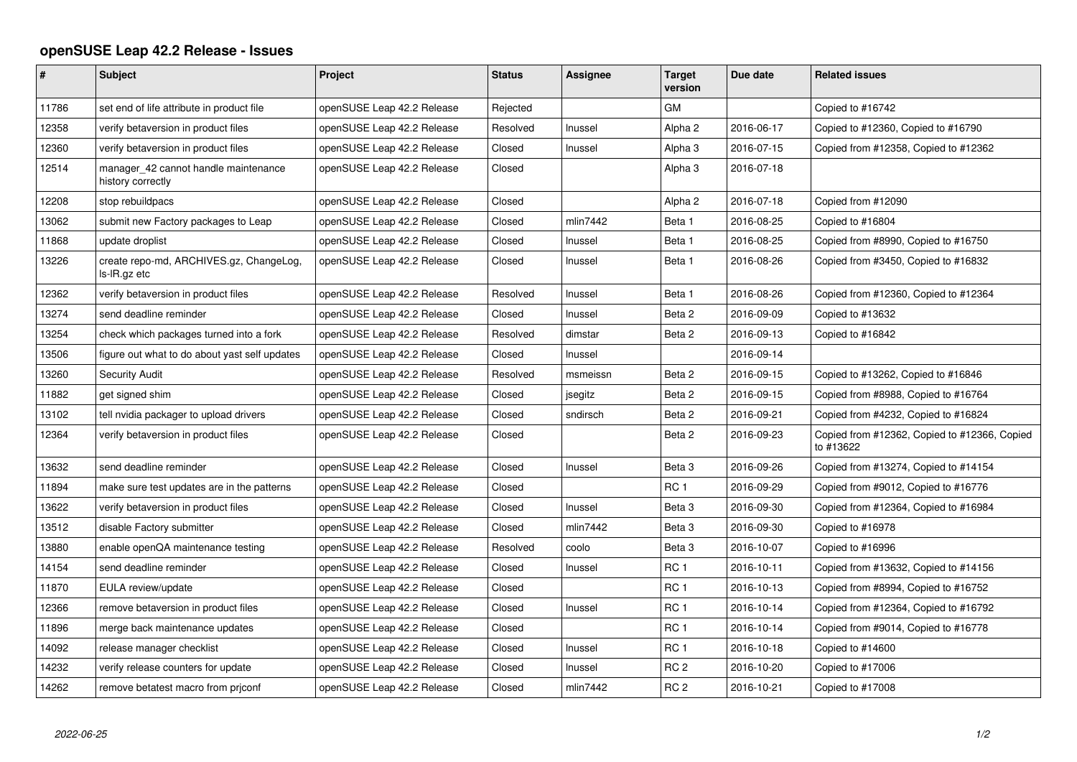## **openSUSE Leap 42.2 Release - Issues**

| $\vert$ # | <b>Subject</b>                                            | Project                    | <b>Status</b> | Assignee | <b>Target</b><br>version | Due date   | <b>Related issues</b>                                     |
|-----------|-----------------------------------------------------------|----------------------------|---------------|----------|--------------------------|------------|-----------------------------------------------------------|
| 11786     | set end of life attribute in product file                 | openSUSE Leap 42.2 Release | Rejected      |          | <b>GM</b>                |            | Copied to #16742                                          |
| 12358     | verify betaversion in product files                       | openSUSE Leap 42.2 Release | Resolved      | Inussel  | Alpha <sub>2</sub>       | 2016-06-17 | Copied to #12360, Copied to #16790                        |
| 12360     | verify betaversion in product files                       | openSUSE Leap 42.2 Release | Closed        | Inussel  | Alpha 3                  | 2016-07-15 | Copied from #12358, Copied to #12362                      |
| 12514     | manager 42 cannot handle maintenance<br>history correctly | openSUSE Leap 42.2 Release | Closed        |          | Alpha 3                  | 2016-07-18 |                                                           |
| 12208     | stop rebuildpacs                                          | openSUSE Leap 42.2 Release | Closed        |          | Alpha <sub>2</sub>       | 2016-07-18 | Copied from #12090                                        |
| 13062     | submit new Factory packages to Leap                       | openSUSE Leap 42.2 Release | Closed        | mlin7442 | Beta 1                   | 2016-08-25 | Copied to #16804                                          |
| 11868     | update droplist                                           | openSUSE Leap 42.2 Release | Closed        | Inussel  | Beta 1                   | 2016-08-25 | Copied from #8990, Copied to #16750                       |
| 13226     | create repo-md, ARCHIVES.gz, ChangeLog,<br>ls-IR.gz etc   | openSUSE Leap 42.2 Release | Closed        | Inussel  | Beta 1                   | 2016-08-26 | Copied from #3450, Copied to #16832                       |
| 12362     | verify betaversion in product files                       | openSUSE Leap 42.2 Release | Resolved      | Inussel  | Beta 1                   | 2016-08-26 | Copied from #12360, Copied to #12364                      |
| 13274     | send deadline reminder                                    | openSUSE Leap 42.2 Release | Closed        | Inussel  | Beta 2                   | 2016-09-09 | Copied to #13632                                          |
| 13254     | check which packages turned into a fork                   | openSUSE Leap 42.2 Release | Resolved      | dimstar  | Beta 2                   | 2016-09-13 | Copied to #16842                                          |
| 13506     | figure out what to do about yast self updates             | openSUSE Leap 42.2 Release | Closed        | Inussel  |                          | 2016-09-14 |                                                           |
| 13260     | <b>Security Audit</b>                                     | openSUSE Leap 42.2 Release | Resolved      | msmeissn | Beta 2                   | 2016-09-15 | Copied to #13262, Copied to #16846                        |
| 11882     | get signed shim                                           | openSUSE Leap 42.2 Release | Closed        | jsegitz  | Beta 2                   | 2016-09-15 | Copied from #8988, Copied to #16764                       |
| 13102     | tell nvidia packager to upload drivers                    | openSUSE Leap 42.2 Release | Closed        | sndirsch | Beta 2                   | 2016-09-21 | Copied from #4232, Copied to #16824                       |
| 12364     | verify betaversion in product files                       | openSUSE Leap 42.2 Release | Closed        |          | Beta 2                   | 2016-09-23 | Copied from #12362, Copied to #12366, Copied<br>to #13622 |
| 13632     | send deadline reminder                                    | openSUSE Leap 42.2 Release | Closed        | Inussel  | Beta <sub>3</sub>        | 2016-09-26 | Copied from #13274, Copied to #14154                      |
| 11894     | make sure test updates are in the patterns                | openSUSE Leap 42.2 Release | Closed        |          | RC <sub>1</sub>          | 2016-09-29 | Copied from #9012, Copied to #16776                       |
| 13622     | verify betaversion in product files                       | openSUSE Leap 42.2 Release | Closed        | Inussel  | Beta <sub>3</sub>        | 2016-09-30 | Copied from #12364, Copied to #16984                      |
| 13512     | disable Factory submitter                                 | openSUSE Leap 42.2 Release | Closed        | mlin7442 | Beta 3                   | 2016-09-30 | Copied to #16978                                          |
| 13880     | enable openQA maintenance testing                         | openSUSE Leap 42.2 Release | Resolved      | coolo    | Beta <sub>3</sub>        | 2016-10-07 | Copied to #16996                                          |
| 14154     | send deadline reminder                                    | openSUSE Leap 42.2 Release | Closed        | Inussel  | RC <sub>1</sub>          | 2016-10-11 | Copied from #13632, Copied to #14156                      |
| 11870     | EULA review/update                                        | openSUSE Leap 42.2 Release | Closed        |          | RC <sub>1</sub>          | 2016-10-13 | Copied from #8994, Copied to #16752                       |
| 12366     | remove betaversion in product files                       | openSUSE Leap 42.2 Release | Closed        | Inussel  | RC <sub>1</sub>          | 2016-10-14 | Copied from #12364, Copied to #16792                      |
| 11896     | merge back maintenance updates                            | openSUSE Leap 42.2 Release | Closed        |          | RC <sub>1</sub>          | 2016-10-14 | Copied from #9014, Copied to #16778                       |
| 14092     | release manager checklist                                 | openSUSE Leap 42.2 Release | Closed        | Inussel  | RC <sub>1</sub>          | 2016-10-18 | Copied to #14600                                          |
| 14232     | verify release counters for update                        | openSUSE Leap 42.2 Release | Closed        | Inussel  | RC <sub>2</sub>          | 2016-10-20 | Copied to #17006                                          |
| 14262     | remove betatest macro from priconf                        | openSUSE Leap 42.2 Release | Closed        | mlin7442 | RC <sub>2</sub>          | 2016-10-21 | Copied to #17008                                          |